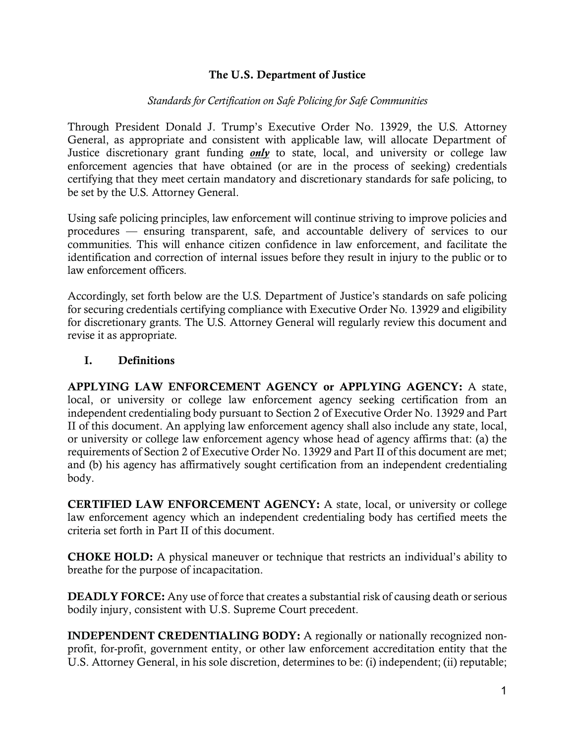## The U.S. Department of Justice

### *Standards for Certification on Safe Policing for Safe Communities*

Through President Donald J. Trump's Executive Order No. 13929, the U.S. Attorney General, as appropriate and consistent with applicable law, will allocate Department of Justice discretionary grant funding *only* to state, local, and university or college law enforcement agencies that have obtained (or are in the process of seeking) credentials certifying that they meet certain mandatory and discretionary standards for safe policing, to be set by the U.S. Attorney General.

Using safe policing principles, law enforcement will continue striving to improve policies and procedures — ensuring transparent, safe, and accountable delivery of services to our communities. This will enhance citizen confidence in law enforcement, and facilitate the identification and correction of internal issues before they result in injury to the public or to law enforcement officers.

Accordingly, set forth below are the U.S. Department of Justice's standards on safe policing for securing credentials certifying compliance with Executive Order No. 13929 and eligibility for discretionary grants. The U.S. Attorney General will regularly review this document and revise it as appropriate.

### I. Definitions

APPLYING LAW ENFORCEMENT AGENCY or APPLYING AGENCY: A state, local, or university or college law enforcement agency seeking certification from an independent credentialing body pursuant to Section 2 of Executive Order No. 13929 and Part II of this document. An applying law enforcement agency shall also include any state, local, or university or college law enforcement agency whose head of agency affirms that: (a) the requirements of Section 2 of Executive Order No. 13929 and Part II of this document are met; and (b) his agency has affirmatively sought certification from an independent credentialing body.

CERTIFIED LAW ENFORCEMENT AGENCY: A state, local, or university or college law enforcement agency which an independent credentialing body has certified meets the criteria set forth in Part II of this document.

CHOKE HOLD: A physical maneuver or technique that restricts an individual's ability to breathe for the purpose of incapacitation.

DEADLY FORCE: Any use of force that creates a substantial risk of causing death or serious bodily injury, consistent with U.S. Supreme Court precedent.

INDEPENDENT CREDENTIALING BODY: A regionally or nationally recognized nonprofit, for-profit, government entity, or other law enforcement accreditation entity that the U.S. Attorney General, in his sole discretion, determines to be: (i) independent; (ii) reputable;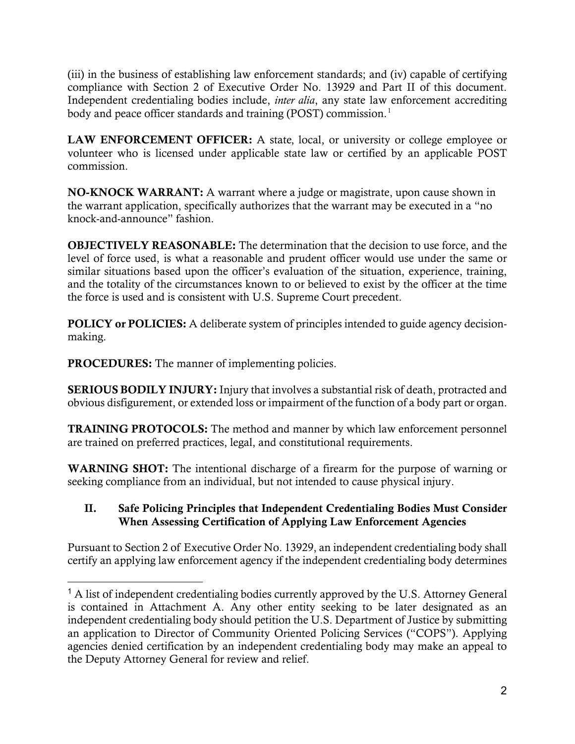(iii) in the business of establishing law enforcement standards; and (iv) capable of certifying compliance with Section 2 of Executive Order No. 13929 and Part II of this document. Independent credentialing bodies include, *inter alia*, any state law enforcement accrediting body and peace officer standards and training (POST) commission.<sup>1</sup>

LAW ENFORCEMENT OFFICER: A state, local, or university or college employee or volunteer who is licensed under applicable state law or certified by an applicable POST commission.

NO-KNOCK WARRANT: A warrant where a judge or magistrate, upon cause shown in the warrant application, specifically authorizes that the warrant may be executed in a "no knock-and-announce" fashion.

OBJECTIVELY REASONABLE: The determination that the decision to use force, and the level of force used, is what a reasonable and prudent officer would use under the same or similar situations based upon the officer's evaluation of the situation, experience, training, and the totality of the circumstances known to or believed to exist by the officer at the time the force is used and is consistent with U.S. Supreme Court precedent.

POLICY or POLICIES: A deliberate system of principles intended to guide agency decisionmaking.

PROCEDURES: The manner of implementing policies.

SERIOUS BODILY INJURY: Injury that involves a substantial risk of death, protracted and obvious disfigurement, or extended loss or impairment of the function of a body part or organ.

TRAINING PROTOCOLS: The method and manner by which law enforcement personnel are trained on preferred practices, legal, and constitutional requirements.

WARNING SHOT: The intentional discharge of a firearm for the purpose of warning or seeking compliance from an individual, but not intended to cause physical injury.

# II. Safe Policing Principles that Independent Credentialing Bodies Must Consider When Assessing Certification of Applying Law Enforcement Agencies

Pursuant to Section 2 of Executive Order No. 13929, an independent credentialing body shall certify an applying law enforcement agency if the independent credentialing body determines

<sup>&</sup>lt;sup>1</sup> A list of independent credentialing bodies currently approved by the U.S. Attorney General is contained in Attachment A. Any other entity seeking to be later designated as an independent credentialing body should petition the U.S. Department of Justice by submitting an application to Director of Community Oriented Policing Services ("COPS"). Applying agencies denied certification by an independent credentialing body may make an appeal to the Deputy Attorney General for review and relief.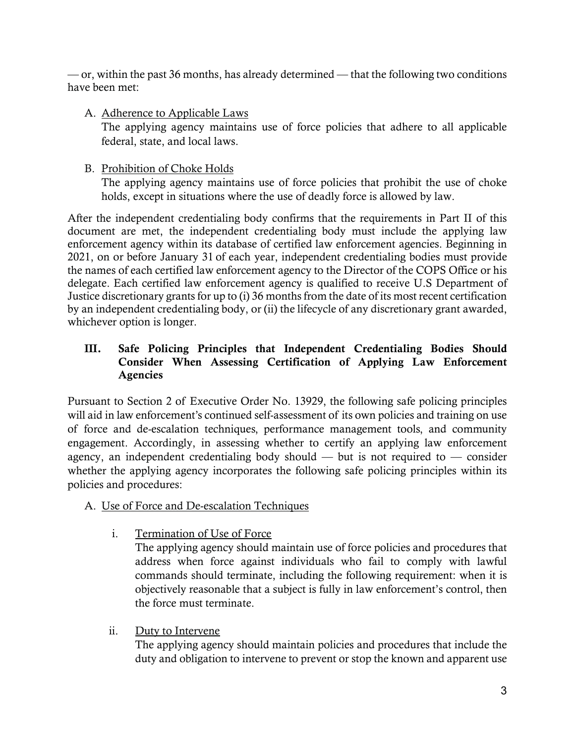$\sim$  or, within the past 36 months, has already determined  $\sim$  that the following two conditions have been met:

# A. Adherence to Applicable Laws

The applying agency maintains use of force policies that adhere to all applicable federal, state, and local laws.

# B. Prohibition of Choke Holds

The applying agency maintains use of force policies that prohibit the use of choke holds, except in situations where the use of deadly force is allowed by law.

After the independent credentialing body confirms that the requirements in Part II of this document are met, the independent credentialing body must include the applying law enforcement agency within its database of certified law enforcement agencies. Beginning in 2021, on or before January 31 of each year, independent credentialing bodies must provide the names of each certified law enforcement agency to the Director of the COPS Office or his delegate. Each certified law enforcement agency is qualified to receive U.S Department of Justice discretionary grants for up to (i) 36 months from the date of its most recent certification by an independent credentialing body, or (ii) the lifecycle of any discretionary grant awarded, whichever option is longer.

# III. Safe Policing Principles that Independent Credentialing Bodies Should Consider When Assessing Certification of Applying Law Enforcement Agencies

Pursuant to Section 2 of Executive Order No. 13929, the following safe policing principles will aid in law enforcement's continued self-assessment of its own policies and training on use of force and de-escalation techniques, performance management tools, and community engagement. Accordingly, in assessing whether to certify an applying law enforcement agency, an independent credentialing body should — but is not required to — consider whether the applying agency incorporates the following safe policing principles within its policies and procedures:

# A. Use of Force and De-escalation Techniques

i. Termination of Use of Force

The applying agency should maintain use of force policies and procedures that address when force against individuals who fail to comply with lawful commands should terminate, including the following requirement: when it is objectively reasonable that a subject is fully in law enforcement's control, then the force must terminate.

ii. Duty to Intervene

The applying agency should maintain policies and procedures that include the duty and obligation to intervene to prevent or stop the known and apparent use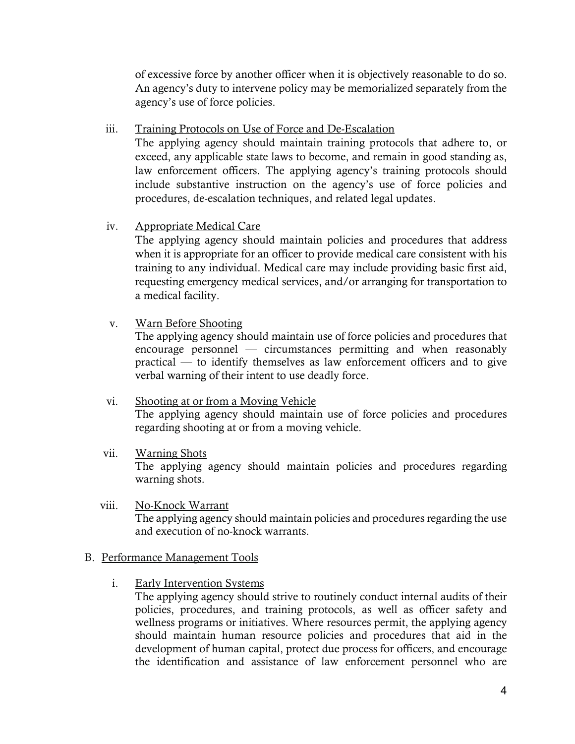of excessive force by another officer when it is objectively reasonable to do so. An agency's duty to intervene policy may be memorialized separately from the agency's use of force policies.

## iii. Training Protocols on Use of Force and De-Escalation

The applying agency should maintain training protocols that adhere to, or exceed, any applicable state laws to become, and remain in good standing as, law enforcement officers. The applying agency's training protocols should include substantive instruction on the agency's use of force policies and procedures, de-escalation techniques, and related legal updates.

# iv. Appropriate Medical Care

The applying agency should maintain policies and procedures that address when it is appropriate for an officer to provide medical care consistent with his training to any individual. Medical care may include providing basic first aid, requesting emergency medical services, and/or arranging for transportation to a medical facility.

## v. Warn Before Shooting

The applying agency should maintain use of force policies and procedures that encourage personnel — circumstances permitting and when reasonably practical — to identify themselves as law enforcement officers and to give verbal warning of their intent to use deadly force.

### vi. Shooting at or from a Moving Vehicle The applying agency should maintain use of force policies and procedures regarding shooting at or from a moving vehicle.

### vii. Warning Shots The applying agency should maintain policies and procedures regarding warning shots.

viii. No-Knock Warrant The applying agency should maintain policies and procedures regarding the use and execution of no-knock warrants.

### B. Performance Management Tools

i. Early Intervention Systems

The applying agency should strive to routinely conduct internal audits of their policies, procedures, and training protocols, as well as officer safety and wellness programs or initiatives. Where resources permit, the applying agency should maintain human resource policies and procedures that aid in the development of human capital, protect due process for officers, and encourage the identification and assistance of law enforcement personnel who are